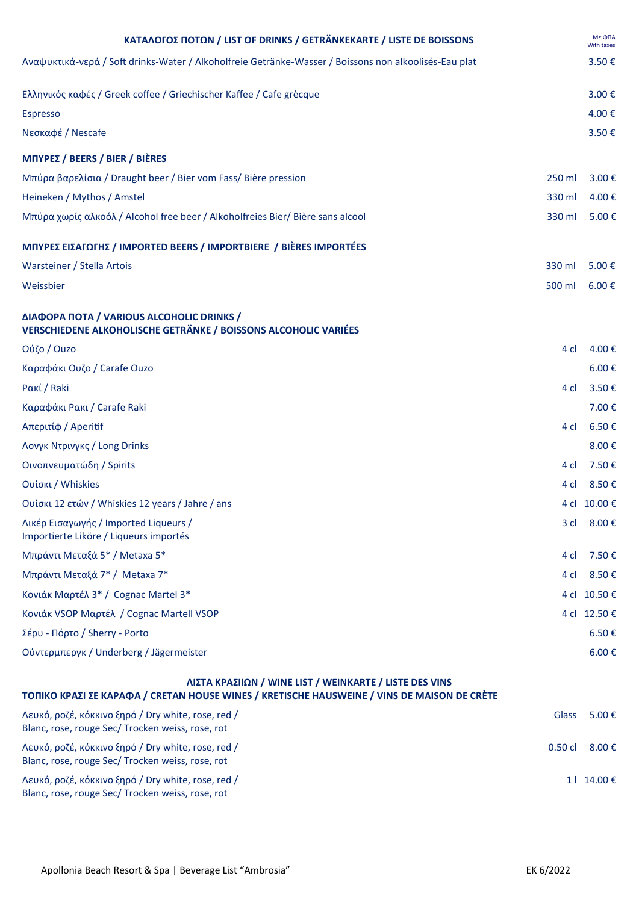| ΚΑΤΑΛΟΓΟΣ ΠΟΤΩΝ / LIST OF DRINKS / GETRÄNKEKARTE / LISTE DE BOISSONS                                                                                   |                 | Мє ФПА<br>With taxes |
|--------------------------------------------------------------------------------------------------------------------------------------------------------|-----------------|----------------------|
| Αναψυκτικά-νερά / Soft drinks-Water / Alkoholfreie Getränke-Wasser / Boissons non alkoolisés-Eau plat                                                  |                 | 3.50€                |
| Ελληνικός καφές / Greek coffee / Griechischer Kaffee / Cafe grècque                                                                                    |                 | 3.00€                |
| <b>Espresso</b>                                                                                                                                        |                 | 4.00€                |
| Νεσκαφέ / Nescafe                                                                                                                                      |                 | 3.50€                |
| <b>ΜΠΥΡΕΣ / BEERS / BIER / BIÈRES</b>                                                                                                                  |                 |                      |
| Μπύρα βαρελίσια / Draught beer / Bier vom Fass/ Bière pression                                                                                         | 250 ml          | 3.00€                |
| Heineken / Mythos / Amstel                                                                                                                             | 330 ml          | 4.00€                |
| Μπύρα χωρίς αλκοόλ / Alcohol free beer / Alkoholfreies Bier/ Bière sans alcool                                                                         | 330 ml          | 5.00€                |
| ΜΠΥΡΕΣ ΕΙΣΑΓΩΓΗΣ / IMPORTED BEERS / IMPORTBIERE / BIÈRES IMPORTÉES                                                                                     |                 |                      |
| Warsteiner / Stella Artois                                                                                                                             | 330 ml          | 5.00€                |
| Weissbier                                                                                                                                              | 500 ml          | 6.00€                |
| ΔΙΑΦΟΡΑ ΠΟΤΑ / VARIOUS ALCOHOLIC DRINKS /<br><b>VERSCHIEDENE ALKOHOLISCHE GETRÄNKE / BOISSONS ALCOHOLIC VARIÉES</b>                                    |                 |                      |
| Ούζο / Ouzo                                                                                                                                            | 4 cl            | 4.00€                |
| Καραφάκι Ουζο / Carafe Ouzo                                                                                                                            |                 | 6.00€                |
| Pακί / Raki                                                                                                                                            | 4 cl            | 3.50€                |
| Καραφάκι Ρακι / Carafe Raki                                                                                                                            |                 | 7.00€                |
| Απεριτίφ / Aperitif                                                                                                                                    | 4 cl            | 6.50€                |
| Λονγκ Ντρινγκς / Long Drinks                                                                                                                           |                 | 8.00€                |
| Οινοπνευματώδη / Spirits                                                                                                                               | 4 cl            | 7.50€                |
| Ουίσκι / Whiskies                                                                                                                                      | 4 cl            | 8.50€                |
| Ουίσκι 12 ετών / Whiskies 12 years / Jahre / ans                                                                                                       |                 | 4 cl 10.00 €         |
| Λικέρ Εισαγωγής / Imported Liqueurs /<br>Importierte Liköre / Liqueurs importés                                                                        | 3 <sub>cl</sub> | 8.00€                |
| Μπράντι Μεταξά 5* / Metaxa 5*                                                                                                                          | 4 <sub>cl</sub> | 7.50€                |
| Μπράντι Μεταξά 7* / Metaxa 7*                                                                                                                          | 4 cl            | 8.50€                |
| Κονιάκ Μαρτέλ 3* / Cognac Martel 3*                                                                                                                    | 4 cl            | 10.50€               |
| Κονιάκ VSOP Μαρτέλ / Cognac Martell VSOP                                                                                                               |                 | 4 cl 12.50 €         |
| Σέρυ - Πόρτο / Sherry - Porto                                                                                                                          |                 | 6.50€                |
| Ούντερμπεργκ / Underberg / Jägermeister                                                                                                                |                 | 6.00€                |
| ΛΙΣΤΑ ΚΡΑΣΙΙΩΝ / WINE LIST / WEINKARTE / LISTE DES VINS<br>ΤΟΠΙΚΟ ΚΡΑΣΙ ΣΕ ΚΑΡΑΦΑ / CRETAN HOUSE WINES / KRETISCHE HAUSWEINE / VINS DE MAISON DE CRÈTE |                 |                      |
| Λευκό, ροζέ, κόκκινο ξηρό / Dry white, rose, red /<br>Blanc, rose, rouge Sec/ Trocken weiss, rose, rot                                                 | Glass           | 5.00€                |
| Λευκό, ροζέ, κόκκινο ξηρό / Dry white, rose, red /<br>Blanc, rose, rouge Sec/ Trocken weiss, rose, rot                                                 | $0.50$ cl       | 8.00€                |
| Λευκό, ροζέ, κόκκινο ξηρό / Dry white, rose, red /<br>Blanc, rose, rouge Sec/ Trocken weiss, rose, rot                                                 |                 | 1   14.00 €          |